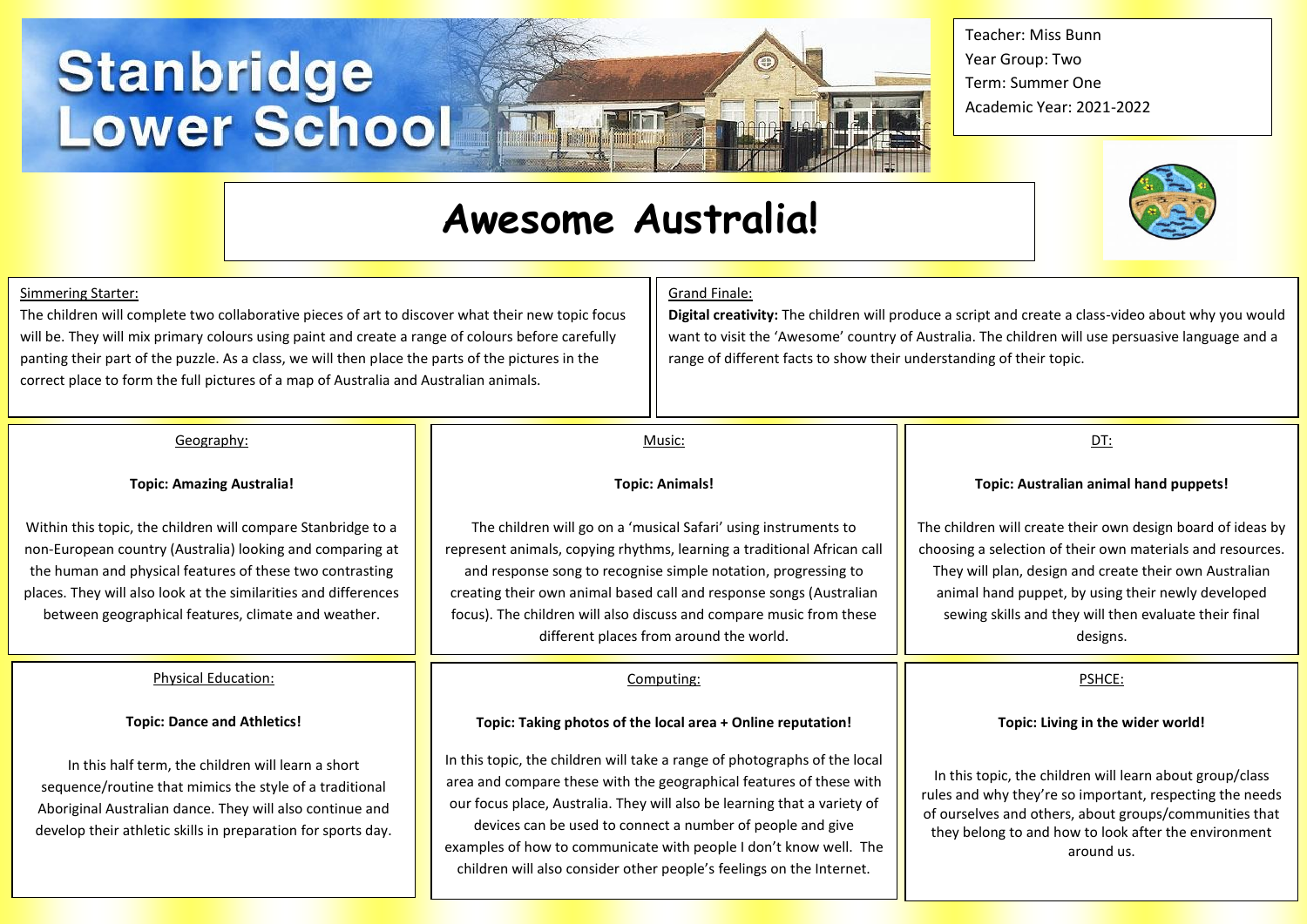# **Stanbridge<br>Lower School**

# **Awesome Australia!**

Teacher: Miss Bunn Year Group: Two Term: Summer One Academic Year: 2021-2022



#### Simmering Starter:

The children will complete two collaborative pieces of art to discover what their new topic focus will be. They will mix primary colours using paint and create a range of colours before carefully panting their part of the puzzle. As a class, we will then place the parts of the pictures in the correct place to form the full pictures of a map of Australia and Australian animals.

#### Grand Finale:

**Digital creativity:** The children will produce a script and create a class-video about why you would want to visit the 'Awesome' country of Australia. The children will use persuasive language and a range of different facts to show their understanding of their topic.

#### Geography:

#### **Topic: Amazing Australia!**

Within this topic, the children will compare Stanbridge to a non-European country (Australia) looking and comparing at the human and physical features of these two contrasting places. They will also look at the similarities and differences between geographical features, climate and weather.

#### Physical Education:

#### **Topic: Dance and Athletics!**

In this half term, the children will learn a short sequence/routine that mimics the style of a traditional Aboriginal Australian dance. They will also continue and develop their athletic skills in preparation for sports day.

## **Topic: Animals!**

Music:

The children will go on a 'musical Safari' using instruments to represent animals, copying rhythms, learning a traditional African call and response song to recognise simple notation, progressing to creating their own animal based call and response songs (Australian focus). The children will also discuss and compare music from these different places from around the world.

#### Computing:

#### **Topic: Taking photos of the local area + Online reputation!**

In this topic, the children will take a range of photographs of the local area and compare these with the geographical features of these with our focus place, Australia. They will also be learning that a variety of devices can be used to connect a number of people and give examples of how to communicate with people I don't know well. The children will also consider other people's feelings on the Internet.

#### DT:

#### **Topic: Australian animal hand puppets!**

The children will create their own design board of ideas by choosing a selection of their own materials and resources. They will plan, design and create their own Australian animal hand puppet, by using their newly developed sewing skills and they will then evaluate their final designs.

#### PSHCE:

#### **Topic: Living in the wider world!**

In this topic, the children will learn about group/class rules and why they're so important, respecting the needs of ourselves and others, about groups/communities that they belong to and how to look after the environment around us.